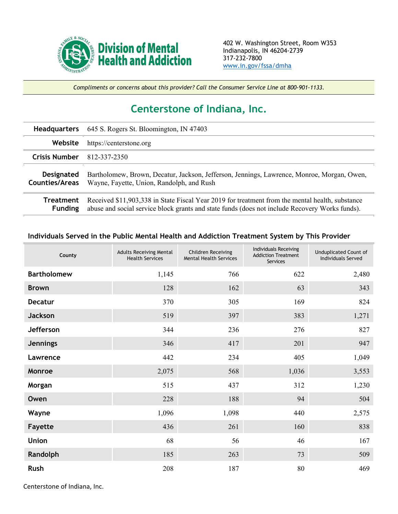

*Compliments or concerns about this provider? Call the Consumer Service Line at 800-901-1133.*

## **Centerstone of Indiana, Inc.**

| <b>Headquarters</b>                        | 645 S. Rogers St. Bloomington, IN 47403                                                                                                                                                           |
|--------------------------------------------|---------------------------------------------------------------------------------------------------------------------------------------------------------------------------------------------------|
| Website                                    | https://centerstone.org                                                                                                                                                                           |
| <b>Crisis Number</b>                       | 812-337-2350                                                                                                                                                                                      |
| <b>Designated</b><br><b>Counties/Areas</b> | Bartholomew, Brown, Decatur, Jackson, Jefferson, Jennings, Lawrence, Monroe, Morgan, Owen,<br>Wayne, Fayette, Union, Randolph, and Rush                                                           |
| Treatment<br><b>Funding</b>                | Received \$11,903,338 in State Fiscal Year 2019 for treatment from the mental health, substance<br>abuse and social service block grants and state funds (does not include Recovery Works funds). |

## **Individuals Served in the Public Mental Health and Addiction Treatment System by This Provider**

| County             | <b>Adults Receiving Mental</b><br><b>Health Services</b> | <b>Children Receiving</b><br><b>Mental Health Services</b> | <b>Individuals Receiving</b><br><b>Addiction Treatment</b><br>Services | <b>Unduplicated Count of</b><br><b>Individuals Served</b> |
|--------------------|----------------------------------------------------------|------------------------------------------------------------|------------------------------------------------------------------------|-----------------------------------------------------------|
| <b>Bartholomew</b> | 1,145                                                    | 766                                                        | 622                                                                    | 2,480                                                     |
| <b>Brown</b>       | 128                                                      | 162                                                        | 63                                                                     | 343                                                       |
| <b>Decatur</b>     | 370                                                      | 305                                                        | 169                                                                    | 824                                                       |
| <b>Jackson</b>     | 519                                                      | 397                                                        | 383                                                                    | 1,271                                                     |
| Jefferson          | 344                                                      | 236                                                        | 276                                                                    | 827                                                       |
| <b>Jennings</b>    | 346                                                      | 417                                                        | 201                                                                    | 947                                                       |
| Lawrence           | 442                                                      | 234                                                        | 405                                                                    | 1,049                                                     |
| Monroe             | 2,075                                                    | 568                                                        | 1,036                                                                  | 3,553                                                     |
| Morgan             | 515                                                      | 437                                                        | 312                                                                    | 1,230                                                     |
| Owen               | 228                                                      | 188                                                        | 94                                                                     | 504                                                       |
| Wayne              | 1,096                                                    | 1,098                                                      | 440                                                                    | 2,575                                                     |
| Fayette            | 436                                                      | 261                                                        | 160                                                                    | 838                                                       |
| <b>Union</b>       | 68                                                       | 56                                                         | 46                                                                     | 167                                                       |
| Randolph           | 185                                                      | 263                                                        | 73                                                                     | 509                                                       |
| Rush               | 208                                                      | 187                                                        | $80\,$                                                                 | 469                                                       |

Centerstone of Indiana, Inc.